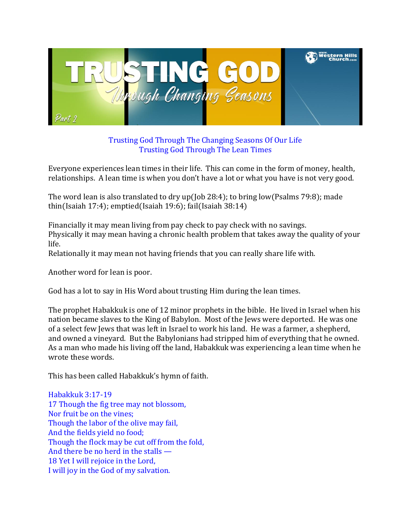

Trusting God Through The Changing Seasons Of Our Life Trusting God Through The Lean Times

Everyone experiences lean times in their life. This can come in the form of money, health, relationships. A lean time is when you don't have a lot or what you have is not very good.

The word lean is also translated to dry up(Job 28:4); to bring low(Psalms 79:8); made thin(Isaiah 17:4); emptied(Isaiah 19:6); fail(Isaiah 38:14)

Financially it may mean living from pay check to pay check with no savings. Physically it may mean having a chronic health problem that takes away the quality of your life.

Relationally it may mean not having friends that you can really share life with.

Another word for lean is poor.

God has a lot to say in His Word about trusting Him during the lean times.

The prophet Habakkuk is one of 12 minor prophets in the bible. He lived in Israel when his nation became slaves to the King of Babylon. Most of the Jews were deported. He was one of a select few Jews that was left in Israel to work his land. He was a farmer, a shepherd, and owned a vineyard. But the Babylonians had stripped him of everything that he owned. As a man who made his living off the land, Habakkuk was experiencing a lean time when he wrote these words.

This has been called Habakkuk's hymn of faith.

Habakkuk 3:17-19 17 Though the fig tree may not blossom, Nor fruit be on the vines; Though the labor of the olive may fail, And the fields yield no food; Though the flock may be cut off from the fold, And there be no herd in the stalls — 18 Yet I will rejoice in the Lord, I will joy in the God of my salvation.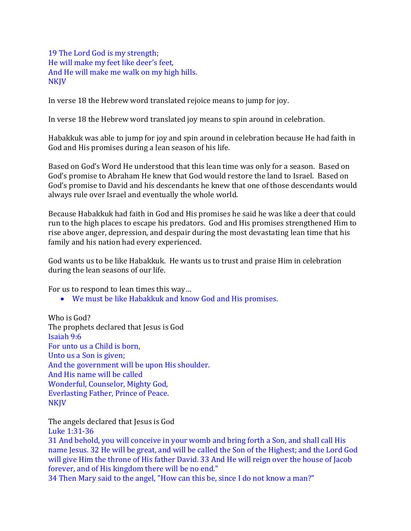19 The Lord God is my strength; He will make my feet like deer's feet, And He will make me walk on my high hills. NKJV

In verse 18 the Hebrew word translated rejoice means to jump for joy.

In verse 18 the Hebrew word translated joy means to spin around in celebration.

Habakkuk was able to jump for joy and spin around in celebration because He had faith in God and His promises during a lean season of his life.

Based on God's Word He understood that this lean time was only for a season. Based on God's promise to Abraham He knew that God would restore the land to Israel. Based on God's promise to David and his descendants he knew that one of those descendants would always rule over Israel and eventually the whole world.

Because Habakkuk had faith in God and His promises he said he was like a deer that could run to the high places to escape his predators. God and His promises strengthened Him to rise above anger, depression, and despair during the most devastating lean time that his family and his nation had every experienced.

God wants us to be like Habakkuk. He wants us to trust and praise Him in celebration during the lean seasons of our life.

For us to respond to lean times this way…

We must be like Habakkuk and know God and His promises.

Who is God? The prophets declared that Jesus is God Isaiah 9:6 For unto us a Child is born, Unto us a Son is given; And the government will be upon His shoulder. And His name will be called Wonderful, Counselor, Mighty God, Everlasting Father, Prince of Peace. **NKJV** 

The angels declared that Jesus is God

Luke 1:31-36

31 And behold, you will conceive in your womb and bring forth a Son, and shall call His name Jesus. 32 He will be great, and will be called the Son of the Highest; and the Lord God will give Him the throne of His father David. 33 And He will reign over the house of Jacob forever, and of His kingdom there will be no end."

34 Then Mary said to the angel, "How can this be, since I do not know a man?"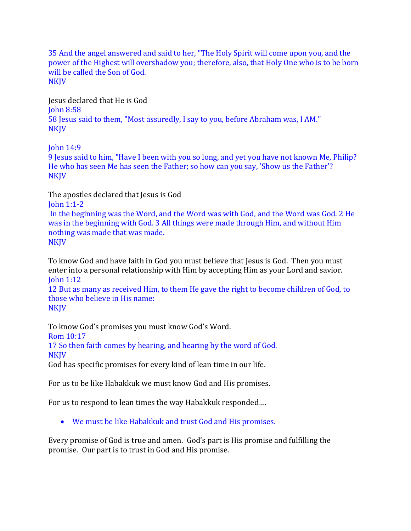35 And the angel answered and said to her, "The Holy Spirit will come upon you, and the power of the Highest will overshadow you; therefore, also, that Holy One who is to be born will be called the Son of God. **NKJV** 

Jesus declared that He is God John 8:58 58 Jesus said to them, "Most assuredly, I say to you, before Abraham was, I AM." **NKJV** 

John 14:9

9 Jesus said to him, "Have I been with you so long, and yet you have not known Me, Philip? He who has seen Me has seen the Father; so how can you say, 'Show us the Father'? NKJV

The apostles declared that Jesus is God

John 1:1-2

In the beginning was the Word, and the Word was with God, and the Word was God. 2 He was in the beginning with God. 3 All things were made through Him, and without Him nothing was made that was made. **NKJV** 

To know God and have faith in God you must believe that Jesus is God. Then you must enter into a personal relationship with Him by accepting Him as your Lord and savior. John 1:12

12 But as many as received Him, to them He gave the right to become children of God, to those who believe in His name: NKJV

To know God's promises you must know God's Word. Rom 10:17 17 So then faith comes by hearing, and hearing by the word of God. NKJV God has specific promises for every kind of lean time in our life.

For us to be like Habakkuk we must know God and His promises.

For us to respond to lean times the way Habakkuk responded….

We must be like Habakkuk and trust God and His promises.

Every promise of God is true and amen. God's part is His promise and fulfilling the promise. Our part is to trust in God and His promise.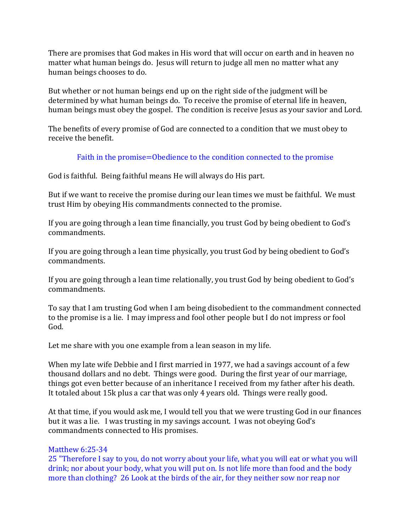There are promises that God makes in His word that will occur on earth and in heaven no matter what human beings do. Jesus will return to judge all men no matter what any human beings chooses to do.

But whether or not human beings end up on the right side of the judgment will be determined by what human beings do. To receive the promise of eternal life in heaven, human beings must obey the gospel. The condition is receive Jesus as your savior and Lord.

The benefits of every promise of God are connected to a condition that we must obey to receive the benefit.

## Faith in the promise=Obedience to the condition connected to the promise

God is faithful. Being faithful means He will always do His part.

But if we want to receive the promise during our lean times we must be faithful. We must trust Him by obeying His commandments connected to the promise.

If you are going through a lean time financially, you trust God by being obedient to God's commandments.

If you are going through a lean time physically, you trust God by being obedient to God's commandments.

If you are going through a lean time relationally, you trust God by being obedient to God's commandments.

To say that I am trusting God when I am being disobedient to the commandment connected to the promise is a lie. I may impress and fool other people but I do not impress or fool God.

Let me share with you one example from a lean season in my life.

When my late wife Debbie and I first married in 1977, we had a savings account of a few thousand dollars and no debt. Things were good. During the first year of our marriage, things got even better because of an inheritance I received from my father after his death. It totaled about 15k plus a car that was only 4 years old. Things were really good.

At that time, if you would ask me, I would tell you that we were trusting God in our finances but it was a lie. I was trusting in my savings account. I was not obeying God's commandments connected to His promises.

### Matthew 6:25-34

25 "Therefore I say to you, do not worry about your life, what you will eat or what you will drink; nor about your body, what you will put on. Is not life more than food and the body more than clothing? 26 Look at the birds of the air, for they neither sow nor reap nor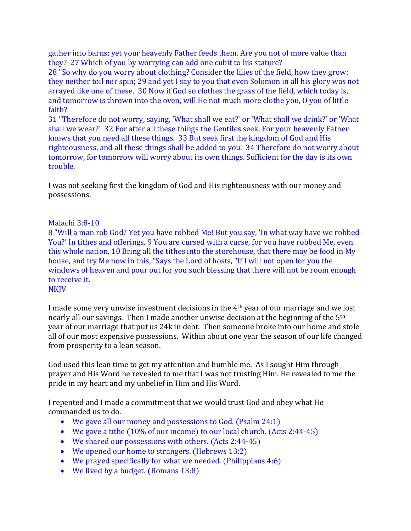gather into barns; yet your heavenly Father feeds them. Are you not of more value than they? 27 Which of you by worrying can add one cubit to his stature?

28 "So why do you worry about clothing? Consider the lilies of the field, how they grow: they neither toil nor spin; 29 and yet I say to you that even Solomon in all his glory was not arrayed like one of these. 30 Now if God so clothes the grass of the field, which today is, and tomorrow is thrown into the oven, will He not much more clothe you, O you of little faith?

31 "Therefore do not worry, saying, 'What shall we eat?' or 'What shall we drink?' or 'What shall we wear?' 32 For after all these things the Gentiles seek. For your heavenly Father knows that you need all these things. 33 But seek first the kingdom of God and His righteousness, and all these things shall be added to you. 34 Therefore do not worry about tomorrow, for tomorrow will worry about its own things. Sufficient for the day is its own trouble.

I was not seeking first the kingdom of God and His righteousness with our money and possessions.

### Malachi 3:8-10

8 "Will a man rob God? Yet you have robbed Me! But you say, 'In what way have we robbed You?' In tithes and offerings. 9 You are cursed with a curse, for you have robbed Me, even this whole nation. 10 Bring all the tithes into the storehouse, that there may be food in My house, and try Me now in this, "Says the Lord of hosts, "If I will not open for you the windows of heaven and pour out for you such blessing that there will not be room enough to receive it.

#### **NKJV**

I made some very unwise investment decisions in the 4th year of our marriage and we lost nearly all our savings. Then I made another unwise decision at the beginning of the 5th year of our marriage that put us 24k in debt. Then someone broke into our home and stole all of our most expensive possessions. Within about one year the season of our life changed from prosperity to a lean season.

God used this lean time to get my attention and humble me. As I sought Him through prayer and His Word he revealed to me that I was not trusting Him. He revealed to me the pride in my heart and my unbelief in Him and His Word.

I repented and I made a commitment that we would trust God and obey what He commanded us to do.

- We gave all our money and possessions to God. (Psalm 24:1)
- We gave a tithe (10% of our income) to our local church. (Acts 2:44-45)
- We shared our possessions with others. (Acts 2:44-45)
- We opened our home to strangers. (Hebrews 13:2)
- We prayed specifically for what we needed. (Philippians 4:6)
- We lived by a budget. (Romans 13:8)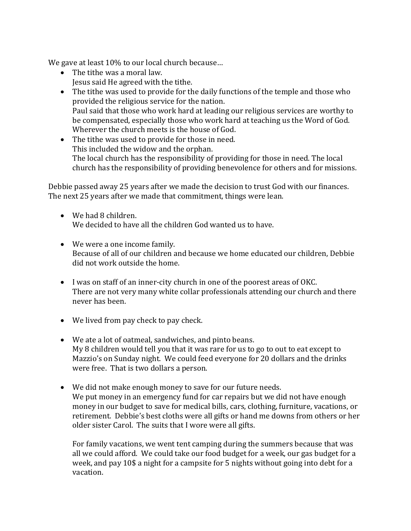We gave at least 10% to our local church because…

- The tithe was a moral law. Jesus said He agreed with the tithe.
- The tithe was used to provide for the daily functions of the temple and those who provided the religious service for the nation. Paul said that those who work hard at leading our religious services are worthy to be compensated, especially those who work hard at teaching us the Word of God. Wherever the church meets is the house of God.
- The tithe was used to provide for those in need. This included the widow and the orphan. The local church has the responsibility of providing for those in need. The local church has the responsibility of providing benevolence for others and for missions.

Debbie passed away 25 years after we made the decision to trust God with our finances. The next 25 years after we made that commitment, things were lean.

- We had 8 children. We decided to have all the children God wanted us to have.
- We were a one income family. Because of all of our children and because we home educated our children, Debbie did not work outside the home.
- I was on staff of an inner-city church in one of the poorest areas of OKC. There are not very many white collar professionals attending our church and there never has been.
- We lived from pay check to pay check.
- We ate a lot of oatmeal, sandwiches, and pinto beans. My 8 children would tell you that it was rare for us to go to out to eat except to Mazzio's on Sunday night. We could feed everyone for 20 dollars and the drinks were free. That is two dollars a person.
- We did not make enough money to save for our future needs. We put money in an emergency fund for car repairs but we did not have enough money in our budget to save for medical bills, cars, clothing, furniture, vacations, or retirement. Debbie's best cloths were all gifts or hand me downs from others or her older sister Carol. The suits that I wore were all gifts.

For family vacations, we went tent camping during the summers because that was all we could afford. We could take our food budget for a week, our gas budget for a week, and pay 10\$ a night for a campsite for 5 nights without going into debt for a vacation.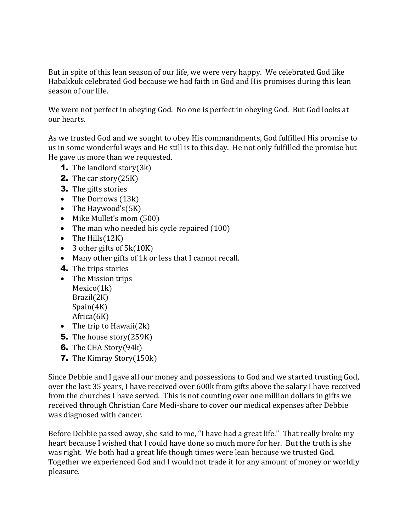But in spite of this lean season of our life, we were very happy. We celebrated God like Habakkuk celebrated God because we had faith in God and His promises during this lean season of our life.

We were not perfect in obeying God. No one is perfect in obeying God. But God looks at our hearts.

As we trusted God and we sought to obey His commandments, God fulfilled His promise to us in some wonderful ways and He still is to this day. He not only fulfilled the promise but He gave us more than we requested.

- **1.** The landlord story $(3k)$
- **2.** The car story $(25K)$
- **3.** The gifts stories
- The Dorrows (13k)
- The Haywood's(5K)
- Mike Mullet's mom (500)
- The man who needed his cycle repaired (100)
- $\bullet$  The Hills(12K)
- $\bullet$  3 other gifts of 5 $k(10K)$
- Many other gifts of 1k or less that I cannot recall.
- 4. The trips stories
- The Mission trips Mexico(1k) Brazil(2K) Spain(4K) Africa(6K)
- The trip to Hawaii $(2k)$
- **5.** The house story(259K)
- **6.** The CHA Story(94k)
- 7. The Kimray Story(150k)

Since Debbie and I gave all our money and possessions to God and we started trusting God, over the last 35 years, I have received over 600k from gifts above the salary I have received from the churches I have served. This is not counting over one million dollars in gifts we received through Christian Care Medi-share to cover our medical expenses after Debbie was diagnosed with cancer.

Before Debbie passed away, she said to me, "I have had a great life." That really broke my heart because I wished that I could have done so much more for her. But the truth is she was right. We both had a great life though times were lean because we trusted God. Together we experienced God and I would not trade it for any amount of money or worldly pleasure.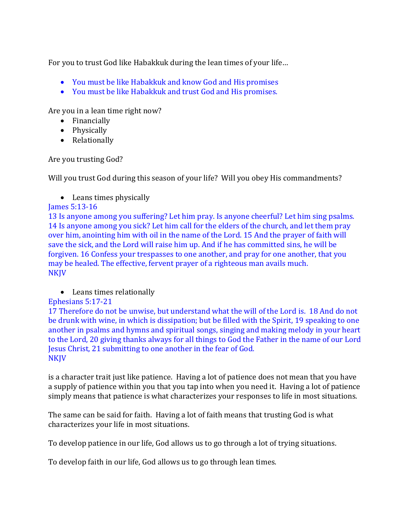For you to trust God like Habakkuk during the lean times of your life…

- You must be like Habakkuk and know God and His promises
- You must be like Habakkuk and trust God and His promises.

Are you in a lean time right now?

- Financially
- Physically
- Relationally

Are you trusting God?

Will you trust God during this season of your life? Will you obey His commandments?

• Leans times physically

# James 5:13-16

13 Is anyone among you suffering? Let him pray. Is anyone cheerful? Let him sing psalms. 14 Is anyone among you sick? Let him call for the elders of the church, and let them pray over him, anointing him with oil in the name of the Lord. 15 And the prayer of faith will save the sick, and the Lord will raise him up. And if he has committed sins, he will be forgiven. 16 Confess your trespasses to one another, and pray for one another, that you may be healed. The effective, fervent prayer of a righteous man avails much. **NKJV** 

## Leans times relationally

## Ephesians 5:17-21

17 Therefore do not be unwise, but understand what the will of the Lord is. 18 And do not be drunk with wine, in which is dissipation; but be filled with the Spirit, 19 speaking to one another in psalms and hymns and spiritual songs, singing and making melody in your heart to the Lord, 20 giving thanks always for all things to God the Father in the name of our Lord Jesus Christ, 21 submitting to one another in the fear of God. NKJV

is a character trait just like patience. Having a lot of patience does not mean that you have a supply of patience within you that you tap into when you need it. Having a lot of patience simply means that patience is what characterizes your responses to life in most situations.

The same can be said for faith. Having a lot of faith means that trusting God is what characterizes your life in most situations.

To develop patience in our life, God allows us to go through a lot of trying situations.

To develop faith in our life, God allows us to go through lean times.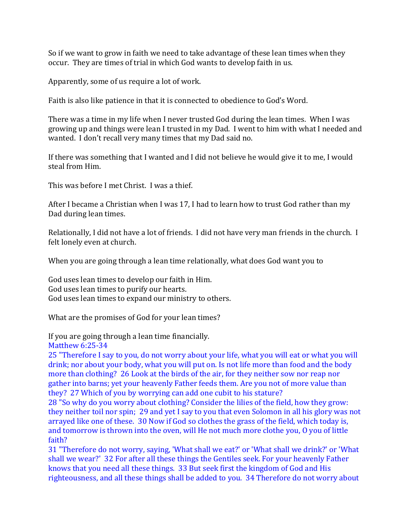So if we want to grow in faith we need to take advantage of these lean times when they occur. They are times of trial in which God wants to develop faith in us.

Apparently, some of us require a lot of work.

Faith is also like patience in that it is connected to obedience to God's Word.

There was a time in my life when I never trusted God during the lean times. When I was growing up and things were lean I trusted in my Dad. I went to him with what I needed and wanted. I don't recall very many times that my Dad said no.

If there was something that I wanted and I did not believe he would give it to me, I would steal from Him.

This was before I met Christ. I was a thief.

After I became a Christian when I was 17, I had to learn how to trust God rather than my Dad during lean times.

Relationally, I did not have a lot of friends. I did not have very man friends in the church. I felt lonely even at church.

When you are going through a lean time relationally, what does God want you to

God uses lean times to develop our faith in Him. God uses lean times to purify our hearts. God uses lean times to expand our ministry to others.

What are the promises of God for your lean times?

If you are going through a lean time financially.

Matthew 6:25-34

25 "Therefore I say to you, do not worry about your life, what you will eat or what you will drink; nor about your body, what you will put on. Is not life more than food and the body more than clothing? 26 Look at the birds of the air, for they neither sow nor reap nor gather into barns; yet your heavenly Father feeds them. Are you not of more value than they? 27 Which of you by worrying can add one cubit to his stature?

28 "So why do you worry about clothing? Consider the lilies of the field, how they grow: they neither toil nor spin; 29 and yet I say to you that even Solomon in all his glory was not arrayed like one of these. 30 Now if God so clothes the grass of the field, which today is, and tomorrow is thrown into the oven, will He not much more clothe you, O you of little faith?

31 "Therefore do not worry, saying, 'What shall we eat?' or 'What shall we drink?' or 'What shall we wear?' 32 For after all these things the Gentiles seek. For your heavenly Father knows that you need all these things. 33 But seek first the kingdom of God and His righteousness, and all these things shall be added to you. 34 Therefore do not worry about